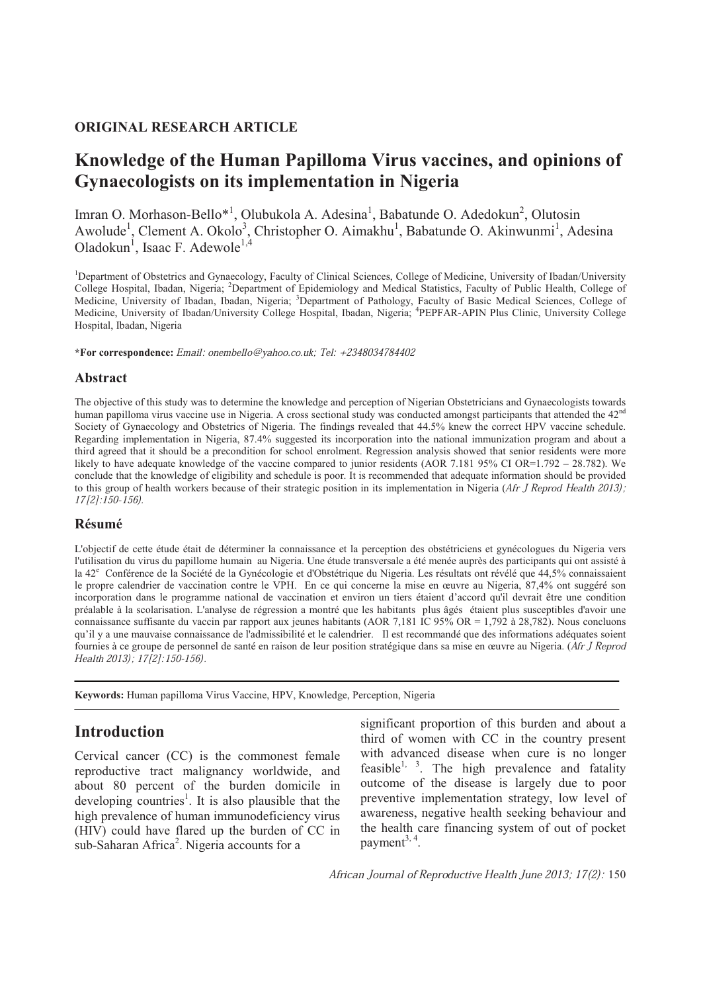## **ORIGINAL RESEARCH ARTICLE**

# **Knowledge of the Human Papilloma Virus vaccines, and opinions of Gynaecologists on its implementation in Nigeria**

Imran O. Morhason-Bello<sup>\*1</sup>, Olubukola A. Adesina<sup>1</sup>, Babatunde O. Adedokun<sup>2</sup>, Olutosin Awolude<sup>1</sup>, Clement A. Okolo<sup>3</sup>, Christopher O. Aimakhu<sup>1</sup>, Babatunde O. Akinwunmi<sup>1</sup>, Adesina Oladokun<sup>1</sup>, Isaac F. Adewole<sup>1,4</sup>

<sup>1</sup>Department of Obstetrics and Gynaecology, Faculty of Clinical Sciences, College of Medicine, University of Ibadan/University College Hospital, Ibadan, Nigeria; <sup>2</sup>Department of Epidemiology and Medical Statistics, Faculty of Public Health, College of Medicine, University of Ibadan, Ibadan, Nigeria; <sup>3</sup>Department of Pathology, Faculty of Basic Medical Sciences, College of Medicine, University of Ibadan/University College Hospital, Ibadan, Nigeria; <sup>4</sup> PEPFAR-APIN Plus Clinic, University College Hospital, Ibadan, Nigeria

**\*For correspondence:** Email: onembello@yahoo.co.uk; Tel: +2348034784402

### **Abstract**

The objective of this study was to determine the knowledge and perception of Nigerian Obstetricians and Gynaecologists towards human papilloma virus vaccine use in Nigeria. A cross sectional study was conducted amongst participants that attended the 42<sup>nd</sup> Society of Gynaecology and Obstetrics of Nigeria. The findings revealed that 44.5% knew the correct HPV vaccine schedule. Regarding implementation in Nigeria, 87.4% suggested its incorporation into the national immunization program and about a third agreed that it should be a precondition for school enrolment. Regression analysis showed that senior residents were more likely to have adequate knowledge of the vaccine compared to junior residents (AOR 7.181 95% CI OR=1.792 – 28.782). We conclude that the knowledge of eligibility and schedule is poor. It is recommended that adequate information should be provided to this group of health workers because of their strategic position in its implementation in Nigeria (Afr J Reprod Health 2013); 17[2]:150-156).

### **Résumé**

L'objectif de cette étude était de déterminer la connaissance et la perception des obstétriciens et gynécologues du Nigeria vers l'utilisation du virus du papillome humain au Nigeria. Une étude transversale a été menée auprès des participants qui ont assisté à la 42<sup>e</sup> Conférence de la Société de la Gynécologie et d'Obstétrique du Nigeria. Les résultats ont révélé que 44,5% connaissaient le propre calendrier de vaccination contre le VPH. En ce qui concerne la mise en œuvre au Nigeria, 87,4% ont suggéré son incorporation dans le programme national de vaccination et environ un tiers étaient d'accord qu'il devrait être une condition préalable à la scolarisation. L'analyse de régression a montré que les habitants plus âgés étaient plus susceptibles d'avoir une connaissance suffisante du vaccin par rapport aux jeunes habitants (AOR 7,181 IC 95% OR = 1,792 à 28,782). Nous concluons qu'il y a une mauvaise connaissance de l'admissibilité et le calendrier. Il est recommandé que des informations adéquates soient fournies à ce groupe de personnel de santé en raison de leur position stratégique dans sa mise en œuvre au Nigeria. (Afr J Reprod Health 2013); 17[2]:150-156).

**Keywords:** Human papilloma Virus Vaccine, HPV, Knowledge, Perception, Nigeria

## **Introduction**

Cervical cancer (CC) is the commonest female reproductive tract malignancy worldwide, and about 80 percent of the burden domicile in developing countries<sup>1</sup>. It is also plausible that the high prevalence of human immunodeficiency virus (HIV) could have flared up the burden of CC in sub-Saharan Africa<sup>2</sup>. Nigeria accounts for a

significant proportion of this burden and about a third of women with CC in the country present with advanced disease when cure is no longer feasible<sup>1, 3</sup>. The high prevalence and fatality outcome of the disease is largely due to poor preventive implementation strategy, low level of awareness, negative health seeking behaviour and the health care financing system of out of pocket payment<sup>3, 4</sup>.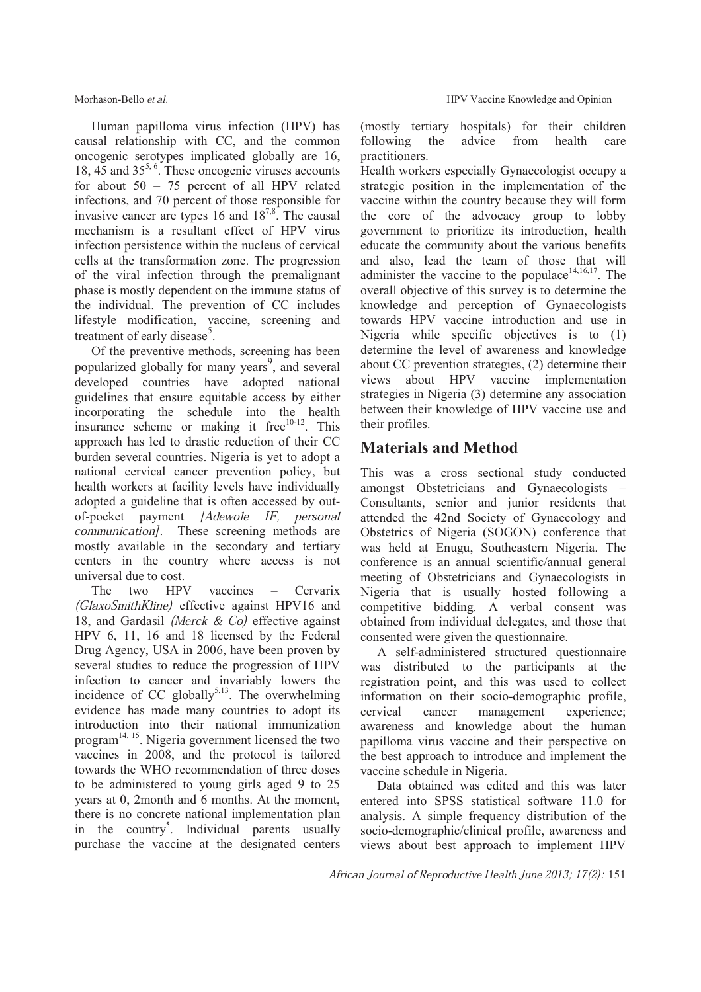Human papilloma virus infection (HPV) has causal relationship with CC, and the common oncogenic serotypes implicated globally are 16, 18, 45 and 35<sup>5, 6</sup>. These oncogenic viruses accounts for about 50 – 75 percent of all HPV related infections, and 70 percent of those responsible for invasive cancer are types 16 and  $18^{7,8}$ . The causal mechanism is a resultant effect of HPV virus infection persistence within the nucleus of cervical cells at the transformation zone. The progression of the viral infection through the premalignant phase is mostly dependent on the immune status of the individual. The prevention of CC includes lifestyle modification, vaccine, screening and treatment of early disease<sup>5</sup>.

Of the preventive methods, screening has been popularized globally for many years<sup>9</sup>, and several developed countries have adopted national guidelines that ensure equitable access by either incorporating the schedule into the health insurance scheme or making it free<sup>10-12</sup>. This approach has led to drastic reduction of their CC burden several countries. Nigeria is yet to adopt a national cervical cancer prevention policy, but health workers at facility levels have individually adopted a guideline that is often accessed by outof-pocket payment [Adewole IF, personal communication]. These screening methods are mostly available in the secondary and tertiary centers in the country where access is not universal due to cost.

The two HPV vaccines – Cervarix (GlaxoSmithKline) effective against HPV16 and 18, and Gardasil (Merck & Co) effective against HPV 6, 11, 16 and 18 licensed by the Federal Drug Agency, USA in 2006, have been proven by several studies to reduce the progression of HPV infection to cancer and invariably lowers the incidence of CC globally $5,13$ . The overwhelming evidence has made many countries to adopt its introduction into their national immunization program<sup>14, 15</sup>. Nigeria government licensed the two vaccines in 2008, and the protocol is tailored towards the WHO recommendation of three doses to be administered to young girls aged 9 to 25 years at 0, 2month and 6 months. At the moment, there is no concrete national implementation plan in the country<sup>5</sup>. Individual parents usually purchase the vaccine at the designated centers

(mostly tertiary hospitals) for their children following the advice from health care practitioners.

Health workers especially Gynaecologist occupy a strategic position in the implementation of the vaccine within the country because they will form the core of the advocacy group to lobby government to prioritize its introduction, health educate the community about the various benefits and also, lead the team of those that will administer the vaccine to the populace $14,16,17$ . The overall objective of this survey is to determine the knowledge and perception of Gynaecologists towards HPV vaccine introduction and use in Nigeria while specific objectives is to (1) determine the level of awareness and knowledge about CC prevention strategies, (2) determine their views about HPV vaccine implementation strategies in Nigeria (3) determine any association between their knowledge of HPV vaccine use and their profiles.

# **Materials and Method**

This was a cross sectional study conducted amongst Obstetricians and Gynaecologists – Consultants, senior and junior residents that attended the 42nd Society of Gynaecology and Obstetrics of Nigeria (SOGON) conference that was held at Enugu, Southeastern Nigeria. The conference is an annual scientific/annual general meeting of Obstetricians and Gynaecologists in Nigeria that is usually hosted following a competitive bidding. A verbal consent was obtained from individual delegates, and those that consented were given the questionnaire.

A self-administered structured questionnaire was distributed to the participants at the registration point, and this was used to collect information on their socio-demographic profile, cervical cancer management experience; awareness and knowledge about the human papilloma virus vaccine and their perspective on the best approach to introduce and implement the vaccine schedule in Nigeria.

Data obtained was edited and this was later entered into SPSS statistical software 11.0 for analysis. A simple frequency distribution of the socio-demographic/clinical profile, awareness and views about best approach to implement HPV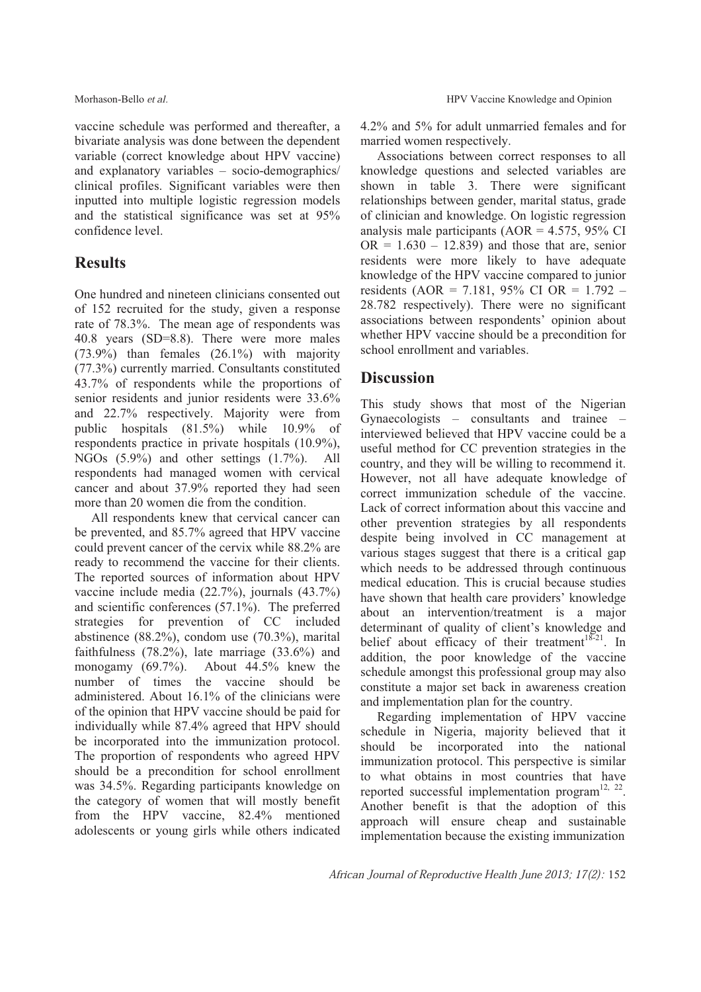vaccine schedule was performed and thereafter, a bivariate analysis was done between the dependent variable (correct knowledge about HPV vaccine) and explanatory variables – socio-demographics/ clinical profiles. Significant variables were then inputted into multiple logistic regression models and the statistical significance was set at 95% confidence level.

# **Results**

One hundred and nineteen clinicians consented out of 152 recruited for the study, given a response rate of 78.3%. The mean age of respondents was 40.8 years (SD=8.8). There were more males (73.9%) than females (26.1%) with majority (77.3%) currently married. Consultants constituted 43.7% of respondents while the proportions of senior residents and junior residents were 33.6% and 22.7% respectively. Majority were from public hospitals (81.5%) while 10.9% of respondents practice in private hospitals (10.9%), NGOs (5.9%) and other settings (1.7%). All respondents had managed women with cervical cancer and about 37.9% reported they had seen more than 20 women die from the condition.

All respondents knew that cervical cancer can be prevented, and 85.7% agreed that HPV vaccine could prevent cancer of the cervix while 88.2% are ready to recommend the vaccine for their clients. The reported sources of information about HPV vaccine include media (22.7%), journals (43.7%) and scientific conferences (57.1%). The preferred strategies for prevention of CC included abstinence (88.2%), condom use (70.3%), marital faithfulness (78.2%), late marriage (33.6%) and monogamy (69.7%). About 44.5% knew the number of times the vaccine should be administered. About 16.1% of the clinicians were of the opinion that HPV vaccine should be paid for individually while 87.4% agreed that HPV should be incorporated into the immunization protocol. The proportion of respondents who agreed HPV should be a precondition for school enrollment was 34.5%. Regarding participants knowledge on the category of women that will mostly benefit from the HPV vaccine, 82.4% mentioned adolescents or young girls while others indicated 4.2% and 5% for adult unmarried females and for married women respectively.

Associations between correct responses to all knowledge questions and selected variables are shown in table 3. There were significant relationships between gender, marital status, grade of clinician and knowledge. On logistic regression analysis male participants ( $AOR = 4.575$ , 95% CI  $OR = 1.630 - 12.839$  and those that are, senior residents were more likely to have adequate knowledge of the HPV vaccine compared to junior residents (AOR = 7.181, 95% CI OR = 1.792 – 28.782 respectively). There were no significant associations between respondents' opinion about whether HPV vaccine should be a precondition for school enrollment and variables.

# **Discussion**

This study shows that most of the Nigerian Gynaecologists – consultants and trainee – interviewed believed that HPV vaccine could be a useful method for CC prevention strategies in the country, and they will be willing to recommend it. However, not all have adequate knowledge of correct immunization schedule of the vaccine. Lack of correct information about this vaccine and other prevention strategies by all respondents despite being involved in CC management at various stages suggest that there is a critical gap which needs to be addressed through continuous medical education. This is crucial because studies have shown that health care providers' knowledge about an intervention/treatment is a major determinant of quality of client's knowledge and belief about efficacy of their treatment<sup>18-21</sup>. In addition, the poor knowledge of the vaccine schedule amongst this professional group may also constitute a major set back in awareness creation and implementation plan for the country.

Regarding implementation of HPV vaccine schedule in Nigeria, majority believed that it should be incorporated into the national immunization protocol. This perspective is similar to what obtains in most countries that have reported successful implementation program $^{12, 22}$ . Another benefit is that the adoption of this approach will ensure cheap and sustainable implementation because the existing immunization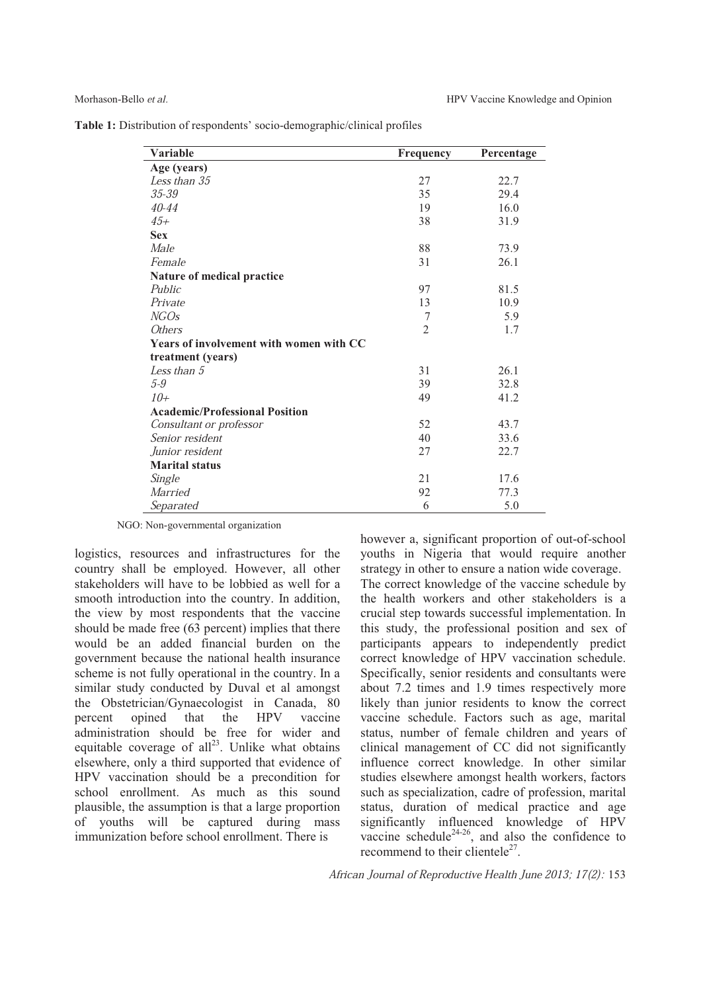**Table 1:** Distribution of respondents' socio-demographic/clinical profiles

| <b>Variable</b>                         | Frequency      | Percentage |
|-----------------------------------------|----------------|------------|
| Age (years)                             |                |            |
| Less than 35                            | 27             | 22.7       |
| $35 - 39$                               | 35             | 29.4       |
| $40 - 44$                               | 19             | 16.0       |
| $45+$                                   | 38             | 31.9       |
| <b>Sex</b>                              |                |            |
| Male                                    | 88             | 73.9       |
| Female                                  | 31             | 26.1       |
| Nature of medical practice              |                |            |
| Public                                  | 97             | 81.5       |
| Private                                 | 13             | 10.9       |
| <b>NGOs</b>                             | 7              | 5.9        |
| <i>Others</i>                           | $\overline{2}$ | 1.7        |
| Years of involvement with women with CC |                |            |
| treatment (years)                       |                |            |
| Less than $5$                           | 31             | 26.1       |
| $5-9$                                   | 39             | 32.8       |
| $10+$                                   | 49             | 41.2       |
| <b>Academic/Professional Position</b>   |                |            |
| Consultant or professor                 | 52             | 43.7       |
| Senior resident                         | 40             | 33.6       |
| Junior resident                         | 27             | 22.7       |
| <b>Marital status</b>                   |                |            |
| Single                                  | 21             | 17.6       |
| <b>Married</b>                          | 92             | 77.3       |
| Separated                               | 6              | 5.0        |

NGO: Non-governmental organization

logistics, resources and infrastructures for the country shall be employed. However, all other stakeholders will have to be lobbied as well for a smooth introduction into the country. In addition, the view by most respondents that the vaccine should be made free (63 percent) implies that there would be an added financial burden on the government because the national health insurance scheme is not fully operational in the country. In a similar study conducted by Duval et al amongst the Obstetrician/Gynaecologist in Canada, 80 percent opined that the HPV vaccine administration should be free for wider and equitable coverage of  $all^{23}$ . Unlike what obtains elsewhere, only a third supported that evidence of HPV vaccination should be a precondition for school enrollment. As much as this sound plausible, the assumption is that a large proportion of youths will be captured during mass immunization before school enrollment. There is

however a, significant proportion of out-of-school youths in Nigeria that would require another strategy in other to ensure a nation wide coverage. The correct knowledge of the vaccine schedule by the health workers and other stakeholders is a crucial step towards successful implementation. In this study, the professional position and sex of participants appears to independently predict correct knowledge of HPV vaccination schedule. Specifically, senior residents and consultants were about 7.2 times and 1.9 times respectively more likely than junior residents to know the correct vaccine schedule. Factors such as age, marital status, number of female children and years of clinical management of CC did not significantly influence correct knowledge. In other similar studies elsewhere amongst health workers, factors such as specialization, cadre of profession, marital status, duration of medical practice and age significantly influenced knowledge of HPV vaccine schedule<sup>24-26</sup>, and also the confidence to recommend to their clientele<sup>27</sup>.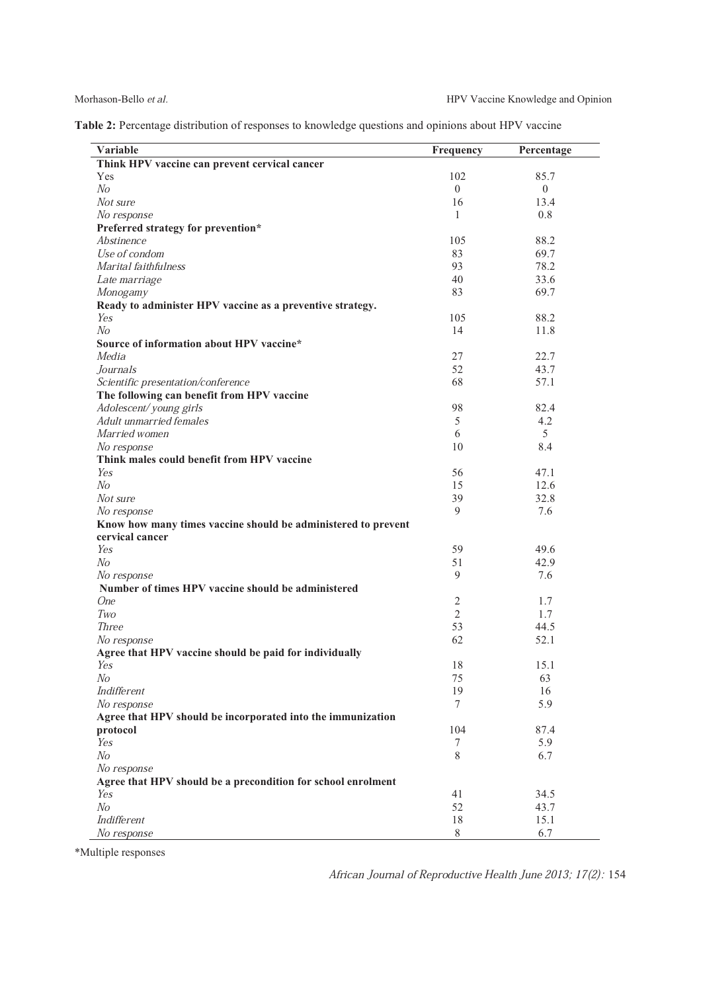| Table 2: Percentage distribution of responses to knowledge questions and opinions about HPV vaccine |  |  |  |  |
|-----------------------------------------------------------------------------------------------------|--|--|--|--|
|                                                                                                     |  |  |  |  |

| Variable                                                                     | Frequency      | Percentage |
|------------------------------------------------------------------------------|----------------|------------|
| Think HPV vaccine can prevent cervical cancer                                |                |            |
| Yes                                                                          | 102            | 85.7       |
| N <sub>O</sub>                                                               | $\theta$       | $\theta$   |
| Not sure                                                                     | 16             | 13.4       |
| No response                                                                  | $\mathbf{1}$   | 0.8        |
| Preferred strategy for prevention*                                           |                |            |
| Abstinence                                                                   | 105            | 88.2       |
| Use of condom                                                                | 83             | 69.7       |
| Marital faithfulness                                                         | 93             | 78.2       |
| Late marriage                                                                | 40             | 33.6       |
| Monogamy                                                                     | 83             | 69.7       |
| Ready to administer HPV vaccine as a preventive strategy.                    |                |            |
| Yes                                                                          | 105            | 88.2       |
| N <sub>O</sub>                                                               | 14             | 11.8       |
| Source of information about HPV vaccine*                                     |                |            |
| Media                                                                        | 27             | 22.7       |
| Journals                                                                     | 52             | 43.7       |
| Scientific presentation/conference                                           | 68             | 57.1       |
| The following can benefit from HPV vaccine                                   |                |            |
| Adolescent/young girls                                                       | 98             | 82.4       |
| Adult unmarried females                                                      | 5              | 4.2        |
| Married women                                                                | 6              | 5          |
| No response                                                                  | 10             | 8.4        |
| Think males could benefit from HPV vaccine                                   |                |            |
| Yes                                                                          | 56             | 47.1       |
| N <sub>O</sub>                                                               | 15             | 12.6       |
| Not sure                                                                     | 39             | 32.8       |
|                                                                              | 9              | 7.6        |
| No response<br>Know how many times vaccine should be administered to prevent |                |            |
| cervical cancer                                                              |                |            |
| Yes                                                                          | 59             | 49.6       |
| No                                                                           | 51             | 42.9       |
|                                                                              | 9              | 7.6        |
| No response                                                                  |                |            |
| Number of times HPV vaccine should be administered                           |                |            |
| <b>One</b>                                                                   | $\sqrt{2}$     | 1.7        |
| Two                                                                          | $\overline{2}$ | 1.7        |
| <b>Three</b>                                                                 | 53             | 44.5       |
| No response                                                                  | 62             | 52.1       |
| Agree that HPV vaccine should be paid for individually                       |                |            |
| Yes                                                                          | 18             | 15.1       |
| No                                                                           | 75             | 63         |
| Indifferent                                                                  | 19             | 16         |
| No response                                                                  | $\tau$         | 5.9        |
| Agree that HPV should be incorporated into the immunization                  |                |            |
| protocol                                                                     | 104            | 87.4       |
| Yes                                                                          | 7              | 5.9        |
| N <sub>O</sub>                                                               | 8              | 6.7        |
| No response                                                                  |                |            |
| Agree that HPV should be a precondition for school enrolment                 |                |            |
| Yes                                                                          | 41             | 34.5       |
| N <sub>O</sub>                                                               | 52             | 43.7       |
| Indifferent                                                                  | $18\,$         | 15.1       |
| No response                                                                  | 8              | 6.7        |

\*Multiple responses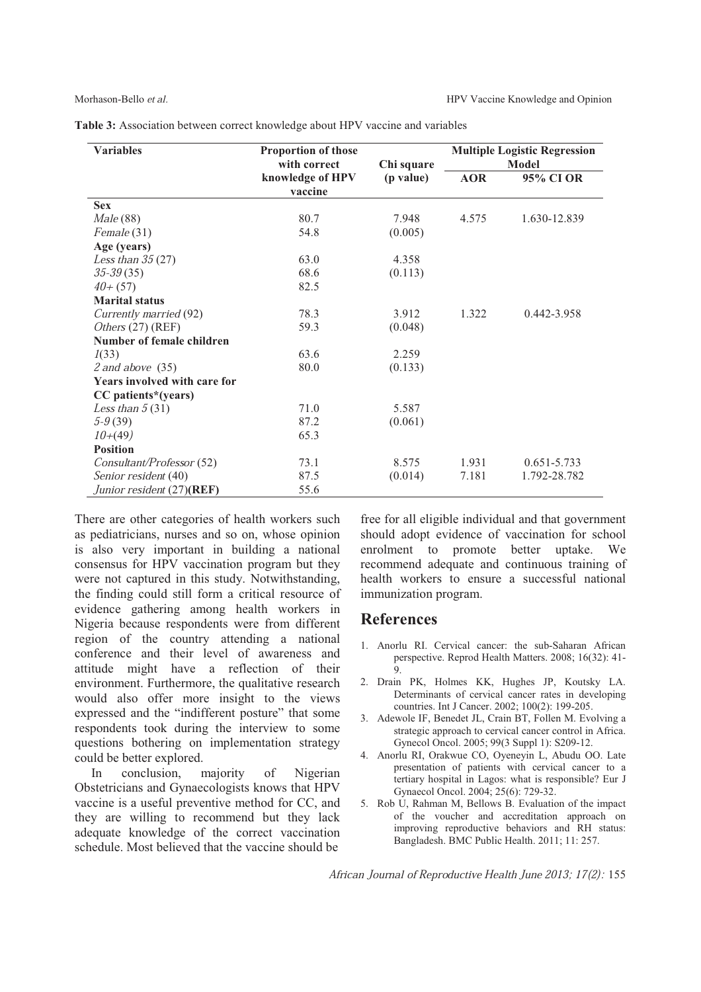| Table 3: Association between correct knowledge about HPV vaccine and variables |  |  |  |
|--------------------------------------------------------------------------------|--|--|--|
|--------------------------------------------------------------------------------|--|--|--|

| <b>Variables</b>                    | Proportion of those<br>with correct | Chi square<br>(p value) | <b>Multiple Logistic Regression</b><br><b>Model</b> |                 |  |
|-------------------------------------|-------------------------------------|-------------------------|-----------------------------------------------------|-----------------|--|
|                                     | knowledge of HPV<br>vaccine         |                         | <b>AOR</b>                                          | 95% CI OR       |  |
| <b>Sex</b>                          |                                     |                         |                                                     |                 |  |
| <i>Male</i> (88)                    | 80.7                                | 7.948                   | 4.575                                               | 1.630-12.839    |  |
| Female (31)                         | 54.8                                | (0.005)                 |                                                     |                 |  |
| Age (years)                         |                                     |                         |                                                     |                 |  |
| Less than $35(27)$                  | 63.0                                | 4.358                   |                                                     |                 |  |
| $35 - 39(35)$                       | 68.6                                | (0.113)                 |                                                     |                 |  |
| $40+(57)$                           | 82.5                                |                         |                                                     |                 |  |
| <b>Marital status</b>               |                                     |                         |                                                     |                 |  |
| Currently married (92)              | 78.3                                | 3.912                   | 1.322                                               | 0.442-3.958     |  |
| Others (27) (REF)                   | 59.3                                | (0.048)                 |                                                     |                 |  |
| Number of female children           |                                     |                         |                                                     |                 |  |
| 1(33)                               | 63.6                                | 2.259                   |                                                     |                 |  |
| $2$ and above $(35)$                | 80.0                                | (0.133)                 |                                                     |                 |  |
| <b>Years involved with care for</b> |                                     |                         |                                                     |                 |  |
| CC patients*(years)                 |                                     |                         |                                                     |                 |  |
| Less than $5(31)$                   | 71.0                                | 5.587                   |                                                     |                 |  |
| $5-9(39)$                           | 87.2                                | (0.061)                 |                                                     |                 |  |
| $10+(49)$                           | 65.3                                |                         |                                                     |                 |  |
| <b>Position</b>                     |                                     |                         |                                                     |                 |  |
| Consultant/Professor (52)           | 73.1                                | 8.575                   | 1.931                                               | $0.651 - 5.733$ |  |
| Senior resident (40)                | 87.5                                | (0.014)                 | 7.181                                               | 1.792-28.782    |  |
| Junior resident (27)(REF)           | 55.6                                |                         |                                                     |                 |  |

There are other categories of health workers such as pediatricians, nurses and so on, whose opinion is also very important in building a national consensus for HPV vaccination program but they were not captured in this study. Notwithstanding, the finding could still form a critical resource of evidence gathering among health workers in Nigeria because respondents were from different region of the country attending a national conference and their level of awareness and attitude might have a reflection of their environment. Furthermore, the qualitative research would also offer more insight to the views expressed and the "indifferent posture" that some respondents took during the interview to some questions bothering on implementation strategy could be better explored.

 In conclusion, majority of Nigerian Obstetricians and Gynaecologists knows that HPV vaccine is a useful preventive method for CC, and they are willing to recommend but they lack adequate knowledge of the correct vaccination schedule. Most believed that the vaccine should be

free for all eligible individual and that government should adopt evidence of vaccination for school enrolment to promote better uptake. We recommend adequate and continuous training of health workers to ensure a successful national immunization program.

## **References**

- 1. Anorlu RI. Cervical cancer: the sub-Saharan African perspective. Reprod Health Matters. 2008; 16(32): 41- 9.
- 2. Drain PK, Holmes KK, Hughes JP, Koutsky LA. Determinants of cervical cancer rates in developing countries. Int J Cancer. 2002; 100(2): 199-205.
- 3. Adewole IF, Benedet JL, Crain BT, Follen M. Evolving a strategic approach to cervical cancer control in Africa. Gynecol Oncol. 2005; 99(3 Suppl 1): S209-12.
- 4. Anorlu RI, Orakwue CO, Oyeneyin L, Abudu OO. Late presentation of patients with cervical cancer to a tertiary hospital in Lagos: what is responsible? Eur J Gynaecol Oncol. 2004; 25(6): 729-32.
- 5. Rob U, Rahman M, Bellows B. Evaluation of the impact of the voucher and accreditation approach on improving reproductive behaviors and RH status: Bangladesh. BMC Public Health. 2011; 11: 257.